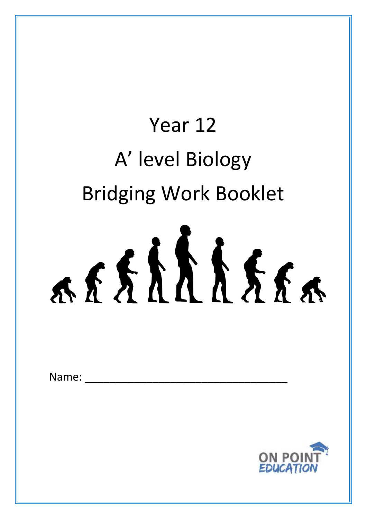# Year 12 A' level Biology Bridging Work Booklet

# 

Name:

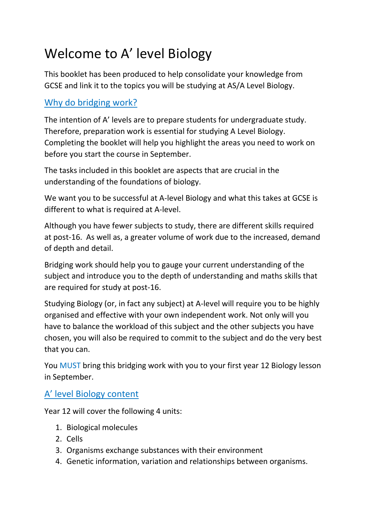# Welcome to A' level Biology

This booklet has been produced to help consolidate your knowledge from GCSE and link it to the topics you will be studying at AS/A Level Biology.

# Why do bridging work?

The intention of A' levels are to prepare students for undergraduate study. Therefore, preparation work is essential for studying A Level Biology. Completing the booklet will help you highlight the areas you need to work on before you start the course in September.

The tasks included in this booklet are aspects that are crucial in the understanding of the foundations of biology.

We want you to be successful at A-level Biology and what this takes at GCSE is different to what is required at A-level.

Although you have fewer subjects to study, there are different skills required at post-16. As well as, a greater volume of work due to the increased, demand of depth and detail.

Bridging work should help you to gauge your current understanding of the subject and introduce you to the depth of understanding and maths skills that are required for study at post-16.

Studying Biology (or, in fact any subject) at A-level will require you to be highly organised and effective with your own independent work. Not only will you have to balance the workload of this subject and the other subjects you have chosen, you will also be required to commit to the subject and do the very best that you can.

You MUST bring this bridging work with you to your first year 12 Biology lesson in September.

# A' level Biology content

Year 12 will cover the following 4 units:

- 1. Biological molecules
- 2. Cells
- 3. Organisms exchange substances with their environment
- 4. Genetic information, variation and relationships between organisms.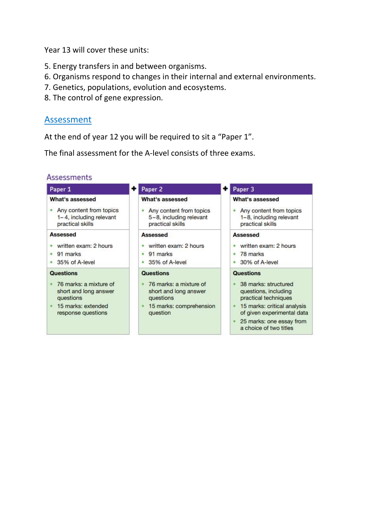Year 13 will cover these units:

- 5. Energy transfers in and between organisms.
- 6. Organisms respond to changes in their internal and external environments.
- 7. Genetics, populations, evolution and ecosystems.
- 8. The control of gene expression.

#### Assessment

At the end of year 12 you will be required to sit a "Paper 1".

The final assessment for the A-level consists of three exams.

Paper 2

#### **Assessments**

What's assessed

Paper 1

#### What's assessed

• Any content from topics  $1 - 4$ , including relevant practical skills

#### Assessed

- written exam: 2 hours
- $\cdot$  91 marks
- 35% of A-level

#### Questions

- \* 76 marks: a mixture of short and long answer questions
- 15 marks: extended response questions

• Any content from topics 5-8, including relevant practical skills

#### **Assessed**

- written exam: 2 hours
- 91 marks
- 35% of A-level

#### Questions

- \* 76 marks: a mixture of short and long answer questions
- · 15 marks: comprehension question

#### Paper 3

#### What's assessed

• Any content from topics 1-8, including relevant practical skills

#### Accassad

- written exam: 2 hours
- $\cdot$  78 marks
- 30% of A-level

#### **Questions**

- 38 marks: structured questions, including practical techniques
- 15 marks: critical analysis of given experimental data
- 25 marks: one essay from a choice of two titles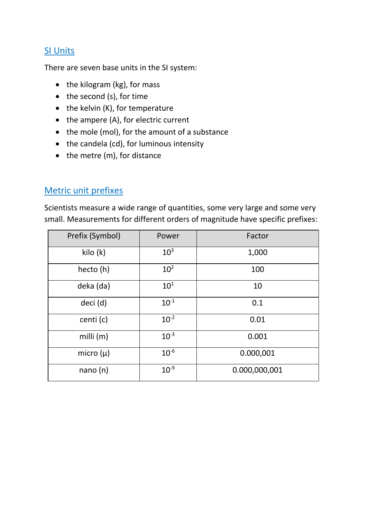#### SI Units

There are seven base units in the SI system:

- $\bullet$  the kilogram (kg), for mass
- $\bullet$  the second (s), for time
- $\bullet$  the kelvin (K), for temperature
- $\bullet$  the ampere (A), for electric current
- the mole (mol), for the amount of a substance
- the candela (cd), for luminous intensity
- $\bullet$  the metre (m), for distance

# Metric unit prefixes

Scientists measure a wide range of quantities, some very large and some very small. Measurements for different orders of magnitude have specific prefixes:

| Prefix (Symbol) | Power           | Factor        |
|-----------------|-----------------|---------------|
| kilo (k)        | 10 <sup>3</sup> | 1,000         |
| hecto (h)       | 10 <sup>2</sup> | 100           |
| deka (da)       | 10 <sup>1</sup> | 10            |
| deci (d)        | $10^{-1}$       | 0.1           |
| centi (c)       | $10^{-2}$       | 0.01          |
| milli $(m)$     | $10^{-3}$       | 0.001         |
| micro $(\mu)$   | $10^{-6}$       | 0.000,001     |
| nano(n)         | $10^{-9}$       | 0.000,000,001 |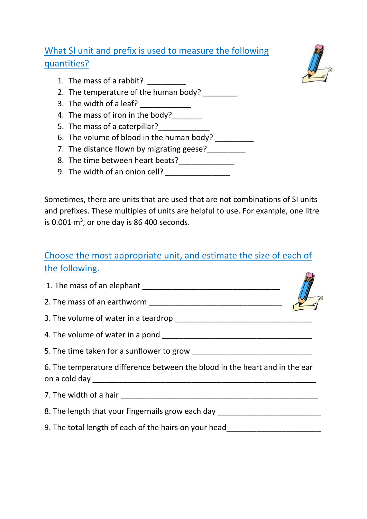# What SI unit and prefix is used to measure the following quantities?

- 1. The mass of a rabbit?
- 2. The temperature of the human body?
- 3. The width of a leaf?  $\frac{1}{2}$   $\frac{1}{2}$   $\frac{1}{2}$   $\frac{1}{2}$   $\frac{1}{2}$   $\frac{1}{2}$
- 4. The mass of iron in the body?
- 5. The mass of a caterpillar?
- 6. The volume of blood in the human body?
- 7. The distance flown by migrating geese?
- 8. The time between heart beats?\_\_\_\_\_\_\_\_\_\_\_\_\_
- 9. The width of an onion cell? \_\_\_\_\_\_\_\_\_\_\_\_\_\_\_

Sometimes, there are units that are used that are not combinations of SI units and prefixes. These multiples of units are helpful to use. For example, one litre is 0.001  $m<sup>3</sup>$ , or one day is 86 400 seconds.

#### Choose the most appropriate unit, and estimate the size of each of the following.  $\circledcirc$

| 6. The temperature difference between the blood in the heart and in the ear      |  |
|----------------------------------------------------------------------------------|--|
|                                                                                  |  |
| 8. The length that your fingernails grow each day ______________________________ |  |
| 9. The total length of each of the hairs on your head___________________________ |  |

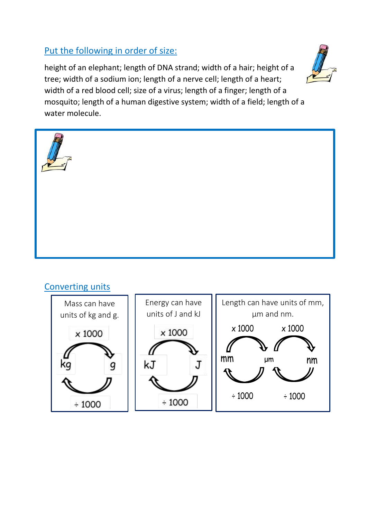# Put the following in order of size:

height of an elephant; length of DNA strand; width of a hair; height of a tree; width of a sodium ion; length of a nerve cell; length of a heart; width of a red blood cell; size of a virus; length of a finger; length of a mosquito; length of a human digestive system; width of a field; length of a water molecule.



#### Converting units



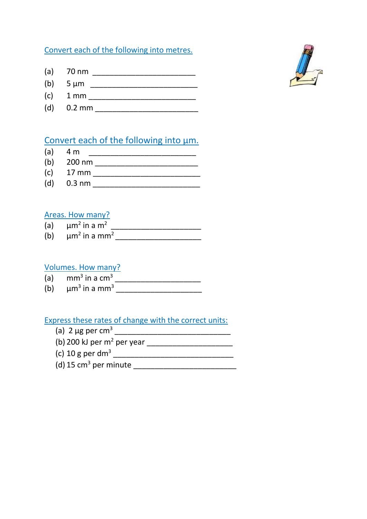#### Convert each of the following into metres.

- (a) 70 nm \_\_\_\_\_\_\_\_\_\_\_\_\_\_\_\_\_\_\_\_\_\_\_\_
- (b) 5 µm \_\_\_\_\_\_\_\_\_\_\_\_\_\_\_\_\_\_\_\_\_\_\_\_\_
- (c) 1 mm \_\_\_\_\_\_\_\_\_\_\_\_\_\_\_\_\_\_\_\_\_\_\_\_\_
- $(d)$  0.2 mm

# Convert each of the following into um.

- (a) 4 m \_\_\_\_\_\_\_\_\_\_\_\_\_\_\_\_\_\_\_\_\_\_\_\_\_
- (b) 200 nm \_\_\_\_\_\_\_\_\_\_\_\_\_\_\_\_\_\_\_\_\_\_\_\_
- $(c)$  17 mm
- (d) 0.3 nm \_\_\_\_\_\_\_\_\_\_\_\_\_\_\_\_\_\_\_\_\_\_\_\_\_

#### Areas. How many?

- (a) μm<sup>2</sup> in a m<sup>2</sup> \_\_\_\_\_\_\_\_\_\_\_\_\_\_\_\_\_\_\_\_\_
- (b) μm<sup>2</sup> in a mm<sup>2</sup> \_\_\_\_\_\_\_\_\_\_\_\_\_\_\_\_\_\_\_\_

#### Volumes. How many?

- (a)  $\gamma$  mm<sup>3</sup> in a cm<sup>3</sup> \_\_\_\_\_\_\_\_\_\_\_\_\_\_\_\_\_\_\_\_\_\_\_\_\_\_\_\_\_\_
- (b)  $\mu$ m<sup>3</sup> in a mm<sup>3</sup> \_\_\_\_\_\_\_\_\_\_\_\_\_\_\_\_\_\_\_\_\_\_\_\_\_\_

Express these rates of change with the correct units:

- (a) 2 μg per cm<sup>3</sup> \_\_\_\_\_\_\_\_\_\_\_\_\_\_\_\_\_\_\_\_\_\_\_\_\_\_\_
- (b) 200 kJ per m<sup>2</sup> per year \_\_\_\_\_\_\_\_\_\_\_\_\_\_\_\_\_\_\_\_
- (c) 10 g per dm<sup>3</sup> \_\_\_\_\_\_\_\_\_\_\_\_\_\_\_\_\_\_\_\_\_\_\_\_\_\_\_\_
- (d) 15 cm<sup>3</sup> per minute \_\_\_\_\_\_\_\_\_\_\_\_\_\_\_\_\_\_\_\_\_\_\_\_

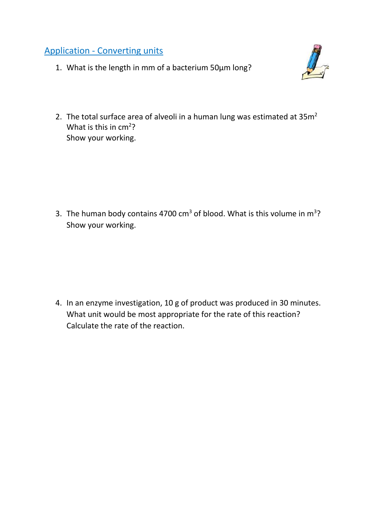### Application - Converting units

1. What is the length in mm of a bacterium 50µm long?



2. The total surface area of alveoli in a human lung was estimated at 35m<sup>2</sup> What is this in  $cm<sup>2</sup>$ ? Show your working.

3. The human body contains 4700  $cm<sup>3</sup>$  of blood. What is this volume in  $m<sup>3</sup>$ ? Show your working.

4. In an enzyme investigation, 10 g of product was produced in 30 minutes. What unit would be most appropriate for the rate of this reaction? Calculate the rate of the reaction.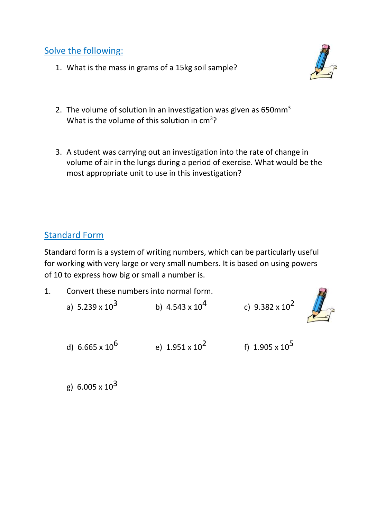### Solve the following:

1. What is the mass in grams of a 15kg soil sample?



- 2. The volume of solution in an investigation was given as 650mm<sup>3</sup> What is the volume of this solution in  $cm<sup>3</sup>$ ?
- 3. A student was carrying out an investigation into the rate of change in volume of air in the lungs during a period of exercise. What would be the most appropriate unit to use in this investigation?

# Standard Form

Standard form is a system of writing numbers, which can be particularly useful for working with very large or very small numbers. It is based on using powers of 10 to express how big or small a number is.

| 1. | Convert these numbers into normal form. |                        |                        |  |
|----|-----------------------------------------|------------------------|------------------------|--|
|    | a) 5.239 x $10^3$                       | b) $4.543 \times 10^4$ | c) $9.382 \times 10^2$ |  |
|    | d) 6.665 x $10^6$                       | e) $1.951 \times 10^2$ | f) $1.905 \times 10^5$ |  |
|    | g) 6.005 x $10^3$                       |                        |                        |  |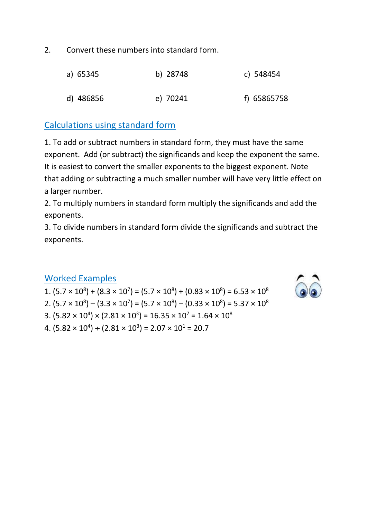2. Convert these numbers into standard form.

| a) 65345  | b) 28748 | c) 548454   |
|-----------|----------|-------------|
| d) 486856 | e) 70241 | f) 65865758 |

# Calculations using standard form

1. To add or subtract numbers in standard form, they must have the same exponent. Add (or subtract) the significands and keep the exponent the same. It is easiest to convert the smaller exponents to the biggest exponent. Note that adding or subtracting a much smaller number will have very little effect on a larger number.

2. To multiply numbers in standard form multiply the significands and add the exponents.

3. To divide numbers in standard form divide the significands and subtract the exponents.

#### Worked Examples

1.  $(5.7 \times 10^8) + (8.3 \times 10^7) = (5.7 \times 10^8) + (0.83 \times 10^8) = 6.53 \times 10^8$ 2.  $(5.7 \times 10^8) - (3.3 \times 10^7) = (5.7 \times 10^8) - (0.33 \times 10^8) = 5.37 \times 10^8$ 3.  $(5.82 \times 10^4) \times (2.81 \times 10^3) = 16.35 \times 10^7 = 1.64 \times 10^8$ 4.  $(5.82 \times 10^4) \div (2.81 \times 10^3) = 2.07 \times 10^1 = 20.7$ 

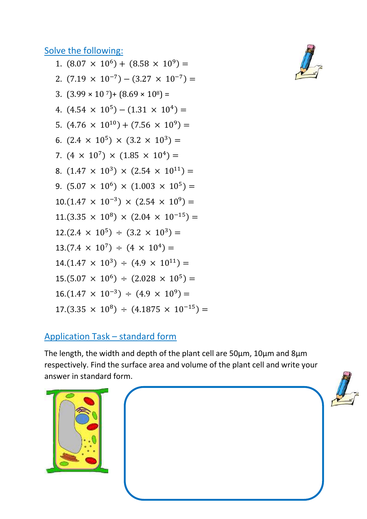Solve the following:

1. 
$$
(8.07 \times 10^6) + (8.58 \times 10^9) =
$$
  
\n2.  $(7.19 \times 10^{-7}) - (3.27 \times 10^{-7}) =$   
\n3.  $(3.99 \times 10^7) + (8.69 \times 10^8) =$   
\n4.  $(4.54 \times 10^5) - (1.31 \times 10^4) =$   
\n5.  $(4.76 \times 10^{10}) + (7.56 \times 10^9) =$   
\n6.  $(2.4 \times 10^5) \times (3.2 \times 10^3) =$   
\n7.  $(4 \times 10^7) \times (1.85 \times 10^4) =$   
\n8.  $(1.47 \times 10^3) \times (2.54 \times 10^{11}) =$   
\n9.  $(5.07 \times 10^6) \times (1.003 \times 10^5) =$   
\n10.  $(1.47 \times 10^{-3}) \times (2.54 \times 10^9) =$   
\n11.  $(3.35 \times 10^8) \times (2.04 \times 10^{-15}) =$   
\n12.  $(2.4 \times 10^5) \div (3.2 \times 10^3) =$   
\n13.  $(7.4 \times 10^7) \div (4 \times 10^4) =$   
\n14.  $(1.47 \times 10^3) \div (4.9 \times 10^{11}) =$   
\n15.  $(5.07 \times 10^6) \div (2.028 \times 10^5) =$   
\n16.  $(1.47 \times 10^{-3}) \div (4.9 \times 10^9) =$   
\n17.  $(3.35 \times 10^8) \div (4.1875 \times 10^{-15}) =$ 



# Application Task – standard form

The length, the width and depth of the plant cell are 50µm, 10µm and 8µm respectively. Find the surface area and volume of the plant cell and write your answer in standard form.

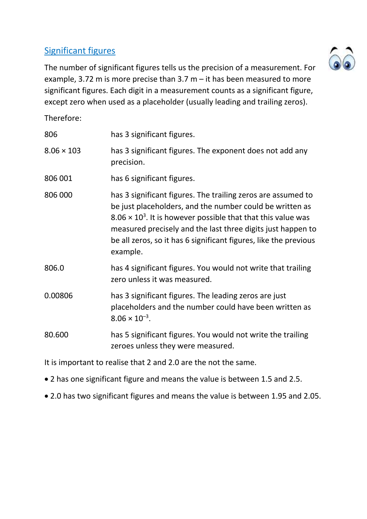# Significant figures

The number of significant figures tells us the precision of a measurement. For example, 3.72 m is more precise than 3.7 m – it has been measured to more significant figures. Each digit in a measurement counts as a significant figure, except zero when used as a placeholder (usually leading and trailing zeros).

Therefore:

| 806               | has 3 significant figures.                                                                                                                                                                                                                                                                                                                      |
|-------------------|-------------------------------------------------------------------------------------------------------------------------------------------------------------------------------------------------------------------------------------------------------------------------------------------------------------------------------------------------|
| $8.06 \times 103$ | has 3 significant figures. The exponent does not add any<br>precision.                                                                                                                                                                                                                                                                          |
| 806 001           | has 6 significant figures.                                                                                                                                                                                                                                                                                                                      |
| 806 000           | has 3 significant figures. The trailing zeros are assumed to<br>be just placeholders, and the number could be written as<br>$8.06 \times 10^3$ . It is however possible that that this value was<br>measured precisely and the last three digits just happen to<br>be all zeros, so it has 6 significant figures, like the previous<br>example. |
| 806.0             | has 4 significant figures. You would not write that trailing<br>zero unless it was measured.                                                                                                                                                                                                                                                    |
| 0.00806           | has 3 significant figures. The leading zeros are just<br>placeholders and the number could have been written as<br>$8.06 \times 10^{-3}$ .                                                                                                                                                                                                      |
| 80.600            | has 5 significant figures. You would not write the trailing<br>zeroes unless they were measured.                                                                                                                                                                                                                                                |
|                   |                                                                                                                                                                                                                                                                                                                                                 |

It is important to realise that 2 and 2.0 are the not the same.

- 2 has one significant figure and means the value is between 1.5 and 2.5.
- 2.0 has two significant figures and means the value is between 1.95 and 2.05.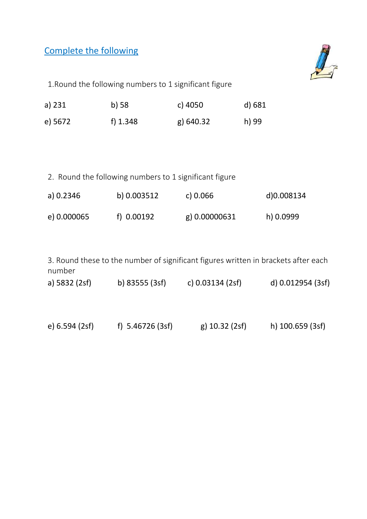# Complete the following



1.Round the following numbers to 1 significant figure

| a) 231  | $b)$ 58  | c) 4050     | d) 681 |
|---------|----------|-------------|--------|
| e) 5672 | f) 1.348 | $g)$ 640.32 | h) 99  |

2. Round the following numbers to 1 significant figure

| a) 0.2346   | b) 0.003512  | c) $0.066$    | d)0.008134 |
|-------------|--------------|---------------|------------|
| e) 0.000065 | f) $0.00192$ | g) 0.00000631 | h) 0.0999  |

3. Round these to the number of significant figures written in brackets after each number a) 5832 (2sf) b) 83555 (3sf) c) 0.03134 (2sf) d) 0.012954 (3sf)

| e) 6.594 (2sf) | f) $5.46726$ (3sf) | $g)$ 10.32 (2sf) | h) 100.659 (3sf) |
|----------------|--------------------|------------------|------------------|
|----------------|--------------------|------------------|------------------|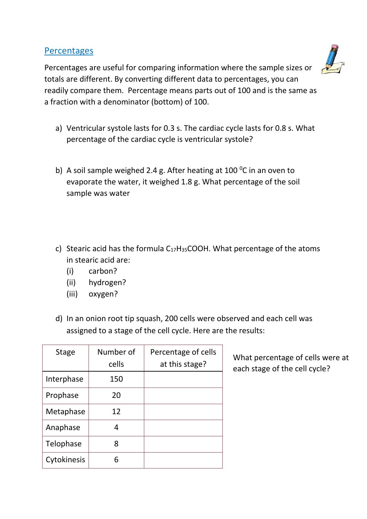#### **Percentages**

Percentages are useful for comparing information where the sample sizes or totals are different. By converting different data to percentages, you can readily compare them. Percentage means parts out of 100 and is the same as a fraction with a denominator (bottom) of 100.

- a) Ventricular systole lasts for 0.3 s. The cardiac cycle lasts for 0.8 s. What percentage of the cardiac cycle is ventricular systole?
- b) A soil sample weighed 2.4 g. After heating at 100 $\degree$ C in an oven to evaporate the water, it weighed 1.8 g. What percentage of the soil sample was water
- c) Stearic acid has the formula  $C_{17}H_{35}COOH$ . What percentage of the atoms in stearic acid are:
	- (i) carbon?
	- (ii) hydrogen?
	- (iii) oxygen?
- d) In an onion root tip squash, 200 cells were observed and each cell was assigned to a stage of the cell cycle. Here are the results:

| <b>Stage</b> | Number of<br>cells | Percentage of cells<br>at this stage? |
|--------------|--------------------|---------------------------------------|
|              |                    |                                       |
| Interphase   | 150                |                                       |
| Prophase     | 20                 |                                       |
| Metaphase    | 12                 |                                       |
| Anaphase     | 4                  |                                       |
| Telophase    | 8                  |                                       |
| Cytokinesis  | 6                  |                                       |

What percentage of cells were at each stage of the cell cycle?

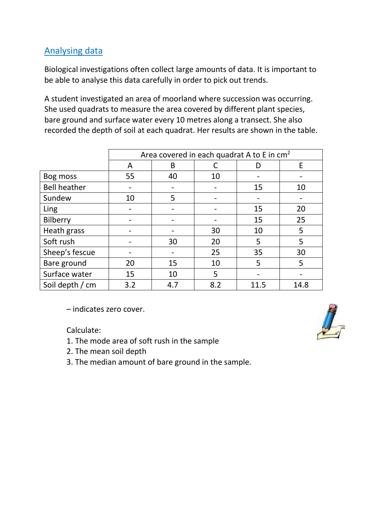# Analysing data

Biological investigations often collect large amounts of data. It is important to be able to analyse this data carefully in order to pick out trends.

A student investigated an area of moorland where succession was occurring. She used quadrats to measure the area covered by different plant species, bare ground and surface water every 10 metres along a transect. She also recorded the depth of soil at each quadrat. Her results are shown in the table.

|                     | Area covered in each quadrat A to E in $cm2$ |     |     |      |      |
|---------------------|----------------------------------------------|-----|-----|------|------|
|                     | E<br>A<br>B                                  |     |     |      |      |
| Bog moss            | 55                                           | 40  | 10  |      |      |
| <b>Bell heather</b> |                                              |     |     | 15   | 10   |
| Sundew              | 10                                           | 5   |     |      |      |
| Ling                |                                              |     |     | 15   | 20   |
| Bilberry            |                                              |     |     | 15   | 25   |
| Heath grass         |                                              |     | 30  | 10   | 5    |
| Soft rush           |                                              | 30  | 20  | 5    | 5    |
| Sheep's fescue      |                                              |     | 25  | 35   | 30   |
| Bare ground         | 20                                           | 15  | 10  | 5    | 5    |
| Surface water       | 15                                           | 10  | 5   |      |      |
| Soil depth / cm     | 3.2                                          | 4.7 | 8.2 | 11.5 | 14.8 |

– indicates zero cover.

Calculate:

- 1. The mode area of soft rush in the sample
- 2. The mean soil depth
- 3. The median amount of bare ground in the sample.

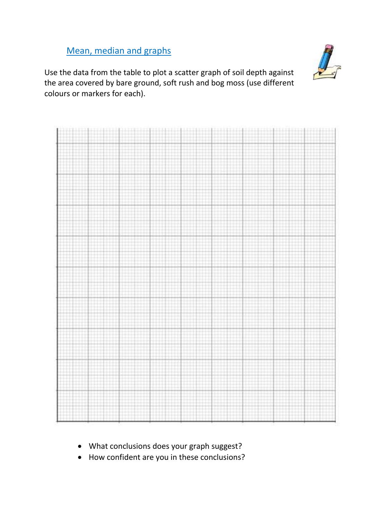# Mean, median and graphs

Use the data from the table to plot a scatter graph of soil depth against the area covered by bare ground, soft rush and bog moss (use different colours or markers for each).



- What conclusions does your graph suggest?
- How confident are you in these conclusions?

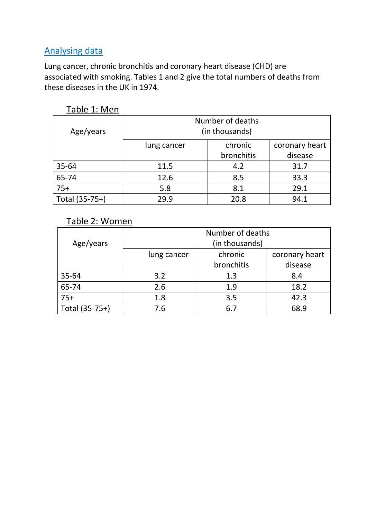# Analysing data

Lung cancer, chronic bronchitis and coronary heart disease (CHD) are associated with smoking. Tables 1 and 2 give the total numbers of deaths from these diseases in the UK in 1974.

|                |                                          | Number of deaths |         |  |  |  |
|----------------|------------------------------------------|------------------|---------|--|--|--|
| Age/years      | (in thousands)                           |                  |         |  |  |  |
|                | chronic<br>coronary heart<br>lung cancer |                  |         |  |  |  |
|                |                                          | bronchitis       | disease |  |  |  |
| $35 - 64$      | 11.5                                     | 4.2              | 31.7    |  |  |  |
| 65-74          | 12.6                                     | 8.5              | 33.3    |  |  |  |
| $75+$          | 5.8                                      | 8.1              | 29.1    |  |  |  |
| Total (35-75+) | 29.9                                     | 20.8             | 94.1    |  |  |  |

Table 1: Men

# Table 2: Women

|                | Number of deaths |                |                |  |
|----------------|------------------|----------------|----------------|--|
| Age/years      |                  | (in thousands) |                |  |
|                | lung cancer      | chronic        | coronary heart |  |
|                |                  | bronchitis     | disease        |  |
| $35 - 64$      | 3.2              | 1.3            | 8.4            |  |
| 65-74          | 2.6              | 1.9            | 18.2           |  |
| $75+$          | 1.8              | 3.5            | 42.3           |  |
| Total (35-75+) | 7.6              | 6.7            | 68.9           |  |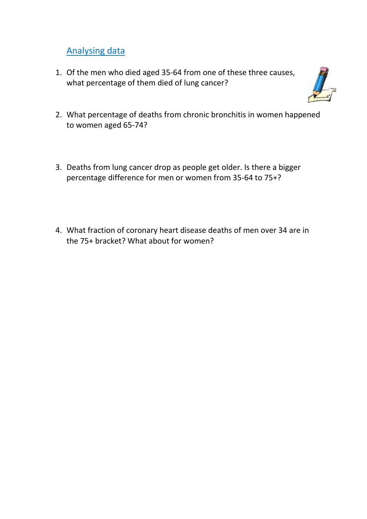#### Analysing data

1. Of the men who died aged 35-64 from one of these three causes, what percentage of them died of lung cancer?



- 2. What percentage of deaths from chronic bronchitis in women happened to women aged 65-74?
- 3. Deaths from lung cancer drop as people get older. Is there a bigger percentage difference for men or women from 35-64 to 75+?
- 4. What fraction of coronary heart disease deaths of men over 34 are in the 75+ bracket? What about for women?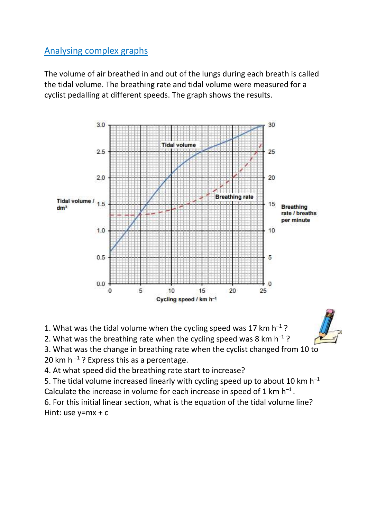# Analysing complex graphs

The volume of air breathed in and out of the lungs during each breath is called the tidal volume. The breathing rate and tidal volume were measured for a cyclist pedalling at different speeds. The graph shows the results.



1. What was the tidal volume when the cycling speed was 17 km  $h^{-1}$ ?

2. What was the breathing rate when the cycling speed was 8 km  $h^{-1}$ ?

3. What was the change in breathing rate when the cyclist changed from 10 to

20 km  $h^{-1}$  ? Express this as a percentage.

4. At what speed did the breathing rate start to increase?

5. The tidal volume increased linearly with cycling speed up to about 10 km  $h^{-1}$ Calculate the increase in volume for each increase in speed of 1 km  $h^{-1}$ . 6. For this initial linear section, what is the equation of the tidal volume line?

Hint: use y=mx + c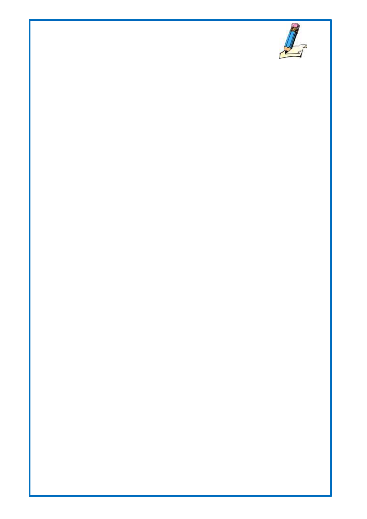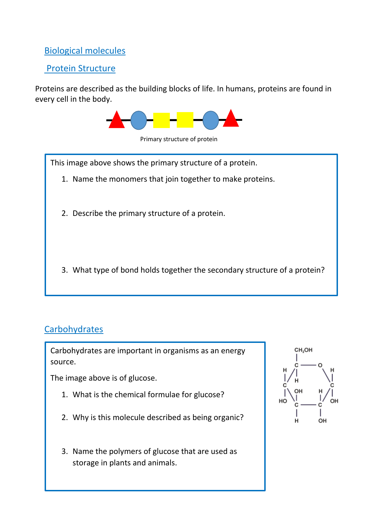# Biological molecules

#### Protein Structure

Proteins are described as the building blocks of life. In humans, proteins are found in every cell in the body.



Primary structure of protein

This image above shows the primary structure of a protein.

- 1. Name the monomers that join together to make proteins.
- 2. Describe the primary structure of a protein.
- 3. What type of bond holds together the secondary structure of a protein?

#### **Carbohydrates**

Carbohydrates are important in organisms as an energy source.

The image above is of glucose.

- 1. What is the chemical formulae for glucose?
- 2. Why is this molecule described as being organic?
- 3. Name the polymers of glucose that are used as storage in plants and animals.

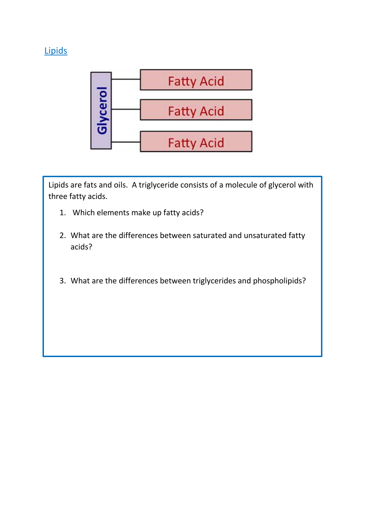# **Lipids**



Lipids are fats and oils. A triglyceride consists of a molecule of glycerol with three fatty acids.

- 1. Which elements make up fatty acids?
- 2. What are the differences between saturated and unsaturated fatty acids?
- 3. What are the differences between triglycerides and phospholipids?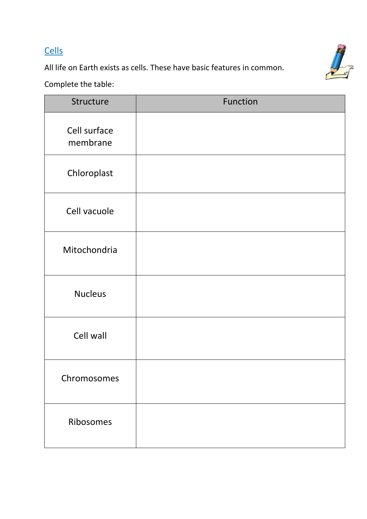# **Cells**

All life on Earth exists as cells. These have basic features in common.



Complete the table:

| Structure                | Function |
|--------------------------|----------|
| Cell surface<br>membrane |          |
| Chloroplast              |          |
| Cell vacuole             |          |
| Mitochondria             |          |
| <b>Nucleus</b>           |          |
| Cell wall                |          |
| Chromosomes              |          |
| Ribosomes                |          |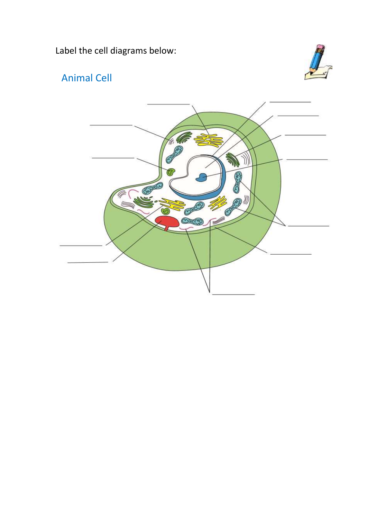Label the cell diagrams below:



# Animal Cell

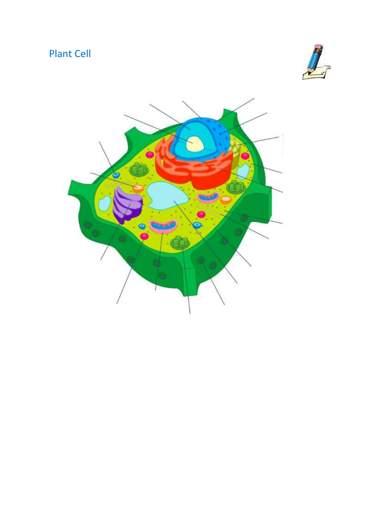# Plant Cell



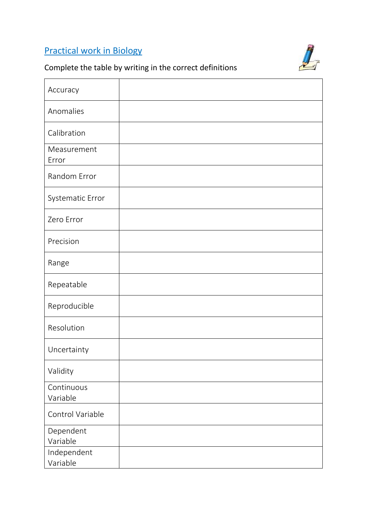# Practical work in Biology



# Complete the table by writing in the correct definitions

| Accuracy                |  |
|-------------------------|--|
| Anomalies               |  |
| Calibration             |  |
| Measurement<br>Error    |  |
| Random Error            |  |
| Systematic Error        |  |
| Zero Error              |  |
| Precision               |  |
| Range                   |  |
| Repeatable              |  |
| Reproducible            |  |
| Resolution              |  |
| Uncertainty             |  |
| Validity                |  |
| Continuous<br>Variable  |  |
| Control Variable        |  |
| Dependent<br>Variable   |  |
| Independent<br>Variable |  |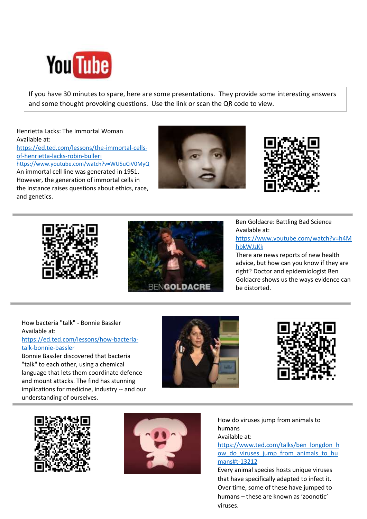

If you have 30 minutes to spare, here are some presentations. They provide some interesting answers and some thought provoking questions. Use the link or scan the QR code to view.

Henrietta Lacks: The Immortal Woman Available at: [https://ed.ted.com/lessons/the-immortal-cells](https://ed.ted.com/lessons/the-immortal-cells-of-henrietta-lacks-robin-bulleri)[of-henrietta-lacks-robin-bulleri](https://ed.ted.com/lessons/the-immortal-cells-of-henrietta-lacks-robin-bulleri) <https://www.youtube.com/watch?v=WU5uCiV0MyQ> An immortal cell line was generated in 1951. However, the generation of immortal cells in the instance raises questions about ethics, race, and genetics.









Ben Goldacre: Battling Bad Science Available at:

[https://www.youtube.com/watch?v=h4M](https://www.youtube.com/watch?v=h4MhbkWJzKk) [hbkWJzKk](https://www.youtube.com/watch?v=h4MhbkWJzKk)

There are news reports of new health advice, but how can you know if they are right? Doctor and epidemiologist Ben Goldacre shows us the ways evidence can be distorted.

How bacteria "talk" - Bonnie Bassler Available at: [https://ed.ted.com/lessons/how-bacteria-](https://ed.ted.com/lessons/how-bacteria-talk-bonnie-bassler)

#### [talk-bonnie-bassler](https://ed.ted.com/lessons/how-bacteria-talk-bonnie-bassler)

Bonnie Bassler discovered that bacteria "talk" to each other, using a chemical language that lets them coordinate defence and mount attacks. The find has stunning implications for medicine, industry -- and our understanding of ourselves.









How do viruses jump from animals to humans Available at:

[https://www.ted.com/talks/ben\\_longdon\\_h](https://www.ted.com/talks/ben_longdon_how_do_viruses_jump_from_animals_to_humans#t-13212) ow do viruses jump from animals to hu [mans#t-13212](https://www.ted.com/talks/ben_longdon_how_do_viruses_jump_from_animals_to_humans#t-13212)

Every animal species hosts unique viruses that have specifically adapted to infect it. Over time, some of these have jumped to humans – these are known as 'zoonotic' viruses.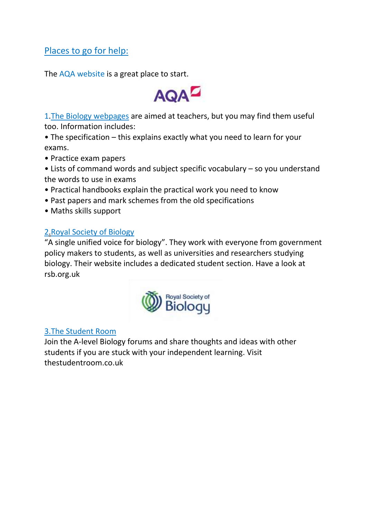#### Places to go for help:

The AQA website is a great place to start.



1.The Biology webpages are aimed at teachers, but you may find them useful too. Information includes:

• The specification – this explains exactly what you need to learn for your exams.

• Practice exam papers

• Lists of command words and subject specific vocabulary – so you understand the words to use in exams

- Practical handbooks explain the practical work you need to know
- Past papers and mark schemes from the old specifications
- Maths skills support

#### 2.Royal Society of Biology

"A single unified voice for biology". They work with everyone from government policy makers to students, as well as universities and researchers studying biology. Their website includes a dedicated student section. Have a look at rsb.org.uk



#### 3.The Student Room

Join the A-level Biology forums and share thoughts and ideas with other students if you are stuck with your independent learning. Visit thestudentroom.co.uk